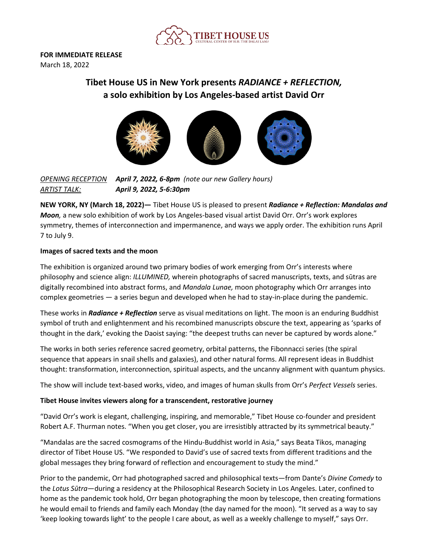

**FOR IMMEDIATE RELEASE** March 18, 2022

# **Tibet House US in New York presents** *RADIANCE + REFLECTION,* **a solo exhibition by Los Angeles-based artist David Orr**



*OPENING RECEPTION April 7, 2022, 6-8pm (note our new Gallery hours) ARTIST TALK: April 9, 2022, 5-6:30pm*

**NEW YORK, NY (March 18, 2022)—** Tibet House US is pleased to present *Radiance + Reflection: Mandalas and Moon,* a new solo exhibition of work by Los Angeles-based visual artist David Orr. Orr's work explores symmetry, themes of interconnection and impermanence, and ways we apply order. The exhibition runs April 7 to July 9.

# **Images of sacred texts and the moon**

The exhibition is organized around two primary bodies of work emerging from Orr's interests where philosophy and science align: *ILLUMINED,* wherein photographs of sacred manuscripts, texts, and sūtras are digitally recombined into abstract forms, and *Mandala Lunae,* moon photography which Orr arranges into complex geometries — a series begun and developed when he had to stay-in-place during the pandemic.

These works in *Radiance + Reflection* serve as visual meditations on light. The moon is an enduring Buddhist symbol of truth and enlightenment and his recombined manuscripts obscure the text, appearing as 'sparks of thought in the dark,' evoking the Daoist saying: "the deepest truths can never be captured by words alone."

The works in both series reference sacred geometry, orbital patterns, the Fibonnacci series (the spiral sequence that appears in snail shells and galaxies), and other natural forms. All represent ideas in Buddhist thought: transformation, interconnection, spiritual aspects, and the uncanny alignment with quantum physics.

The show will include text-based works, video, and images of human skulls from Orr's *Perfect Vessels* series.

# **Tibet House invites viewers along for a transcendent, restorative journey**

"David Orr's work is elegant, challenging, inspiring, and memorable," Tibet House co-founder and president Robert A.F. Thurman notes. "When you get closer, you are irresistibly attracted by its symmetrical beauty."

"Mandalas are the sacred cosmograms of the Hindu-Buddhist world in Asia," says Beata Tikos, managing director of Tibet House US. "We responded to David's use of sacred texts from different traditions and the global messages they bring forward of reflection and encouragement to study the mind."

Prior to the pandemic, Orr had photographed sacred and philosophical texts—from Dante's *Divine Comedy* to the *Lotus Sūtra*—during a residency at the Philosophical Research Society in Los Angeles. Later, confined to home as the pandemic took hold, Orr began photographing the moon by telescope, then creating formations he would email to friends and family each Monday (the day named for the moon). "It served as a way to say 'keep looking towards light' to the people I care about, as well as a weekly challenge to myself," says Orr.